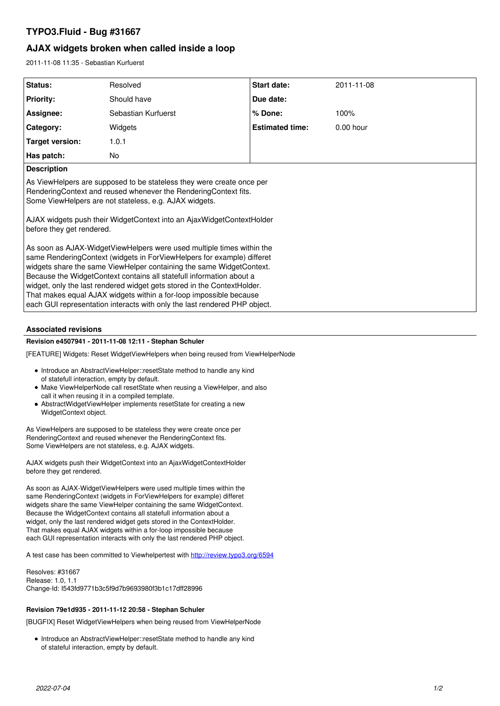# **TYPO3.Fluid - Bug #31667**

# **AJAX widgets broken when called inside a loop**

2011-11-08 11:35 - Sebastian Kurfuerst

| Status:                                                                                                                                                                                                                                                                                                                                                                                                                                                                                                                       | Resolved            | <b>Start date:</b>     | 2011-11-08  |
|-------------------------------------------------------------------------------------------------------------------------------------------------------------------------------------------------------------------------------------------------------------------------------------------------------------------------------------------------------------------------------------------------------------------------------------------------------------------------------------------------------------------------------|---------------------|------------------------|-------------|
| <b>Priority:</b>                                                                                                                                                                                                                                                                                                                                                                                                                                                                                                              | Should have         | Due date:              |             |
| Assignee:                                                                                                                                                                                                                                                                                                                                                                                                                                                                                                                     | Sebastian Kurfuerst | % Done:                | 100%        |
| Category:                                                                                                                                                                                                                                                                                                                                                                                                                                                                                                                     | Widgets             | <b>Estimated time:</b> | $0.00$ hour |
| Target version:                                                                                                                                                                                                                                                                                                                                                                                                                                                                                                               | 1.0.1               |                        |             |
| Has patch:                                                                                                                                                                                                                                                                                                                                                                                                                                                                                                                    | No                  |                        |             |
| <b>Description</b>                                                                                                                                                                                                                                                                                                                                                                                                                                                                                                            |                     |                        |             |
| As ViewHelpers are supposed to be stateless they were create once per<br>RenderingContext and reused whenever the RenderingContext fits.<br>Some ViewHelpers are not stateless, e.g. AJAX widgets.<br>AJAX widgets push their WidgetContext into an AjaxWidgetContextHolder<br>before they get rendered.                                                                                                                                                                                                                      |                     |                        |             |
| As soon as AJAX-WidgetViewHelpers were used multiple times within the<br>same RenderingContext (widgets in ForViewHelpers for example) differet<br>widgets share the same ViewHelper containing the same WidgetContext.<br>Because the WidgetContext contains all statefull information about a<br>widget, only the last rendered widget gets stored in the ContextHolder.<br>That makes equal AJAX widgets within a for-loop impossible because<br>each GUI representation interacts with only the last rendered PHP object. |                     |                        |             |

# **Associated revisions**

# **Revision e4507941 - 2011-11-08 12:11 - Stephan Schuler**

[FEATURE] Widgets: Reset WidgetViewHelpers when being reused from ViewHelperNode

- Introduce an AbstractViewHelper::resetState method to handle any kind of statefull interaction, empty by default.
- Make ViewHelperNode call resetState when reusing a ViewHelper, and also call it when reusing it in a compiled template.
- AbstractWidgetViewHelper implements resetState for creating a new WidgetContext object.

As ViewHelpers are supposed to be stateless they were create once per RenderingContext and reused whenever the RenderingContext fits. Some ViewHelpers are not stateless, e.g. AJAX widgets.

AJAX widgets push their WidgetContext into an AjaxWidgetContextHolder before they get rendered.

As soon as AJAX-WidgetViewHelpers were used multiple times within the same RenderingContext (widgets in ForViewHelpers for example) differet widgets share the same ViewHelper containing the same WidgetContext. Because the WidgetContext contains all statefull information about a widget, only the last rendered widget gets stored in the ContextHolder. That makes equal AJAX widgets within a for-loop impossible because each GUI representation interacts with only the last rendered PHP object.

A test case has been committed to Viewhelpertest with<http://review.typo3.org/6594>

Resolves: #31667 Release: 1.0, 1.1 Change-Id: I543fd9771b3c5f9d7b9693980f3b1c17dff28996

# **Revision 79e1d935 - 2011-11-12 20:58 - Stephan Schuler**

[BUGFIX] Reset WidgetViewHelpers when being reused from ViewHelperNode

Introduce an AbstractViewHelper::resetState method to handle any kind of stateful interaction, empty by default.